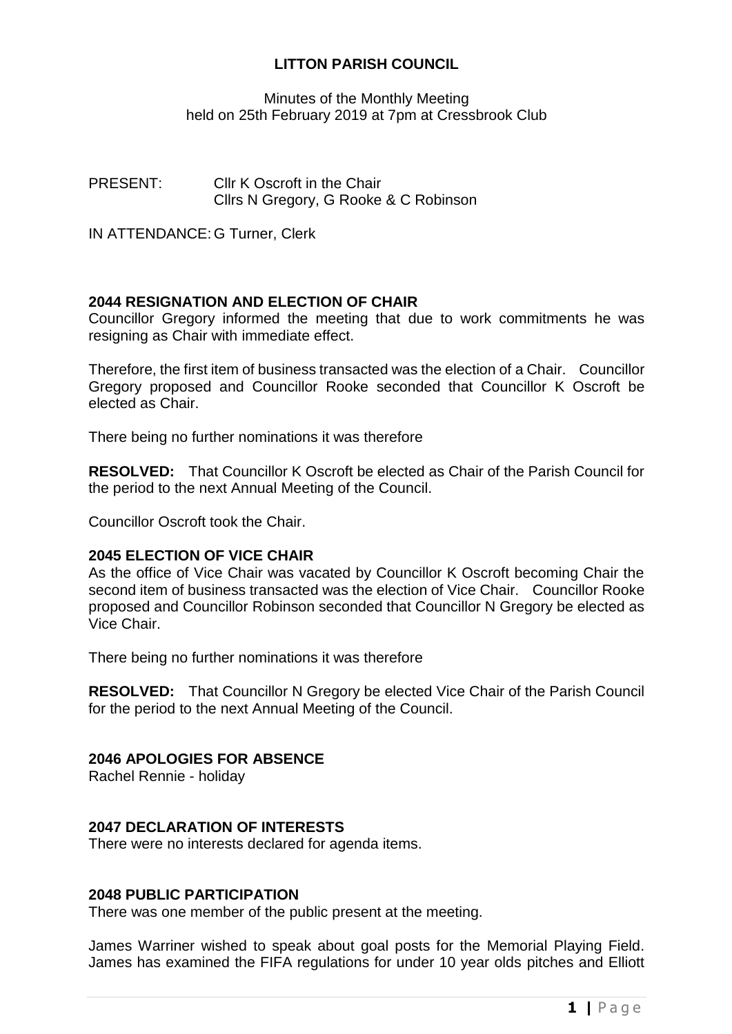# **LITTON PARISH COUNCIL**

Minutes of the Monthly Meeting held on 25th February 2019 at 7pm at Cressbrook Club

PRESENT: Cllr K Oscroft in the Chair Cllrs N Gregory, G Rooke & C Robinson

IN ATTENDANCE: G Turner, Clerk

# **2044 RESIGNATION AND ELECTION OF CHAIR**

Councillor Gregory informed the meeting that due to work commitments he was resigning as Chair with immediate effect.

Therefore, the first item of business transacted was the election of a Chair. Councillor Gregory proposed and Councillor Rooke seconded that Councillor K Oscroft be elected as Chair.

There being no further nominations it was therefore

**RESOLVED:** That Councillor K Oscroft be elected as Chair of the Parish Council for the period to the next Annual Meeting of the Council.

Councillor Oscroft took the Chair.

### **2045 ELECTION OF VICE CHAIR**

As the office of Vice Chair was vacated by Councillor K Oscroft becoming Chair the second item of business transacted was the election of Vice Chair. Councillor Rooke proposed and Councillor Robinson seconded that Councillor N Gregory be elected as Vice Chair.

There being no further nominations it was therefore

**RESOLVED:** That Councillor N Gregory be elected Vice Chair of the Parish Council for the period to the next Annual Meeting of the Council.

### **2046 APOLOGIES FOR ABSENCE**

Rachel Rennie - holiday

### **2047 DECLARATION OF INTERESTS**

There were no interests declared for agenda items.

### **2048 PUBLIC PARTICIPATION**

There was one member of the public present at the meeting.

James Warriner wished to speak about goal posts for the Memorial Playing Field. James has examined the FIFA regulations for under 10 year olds pitches and Elliott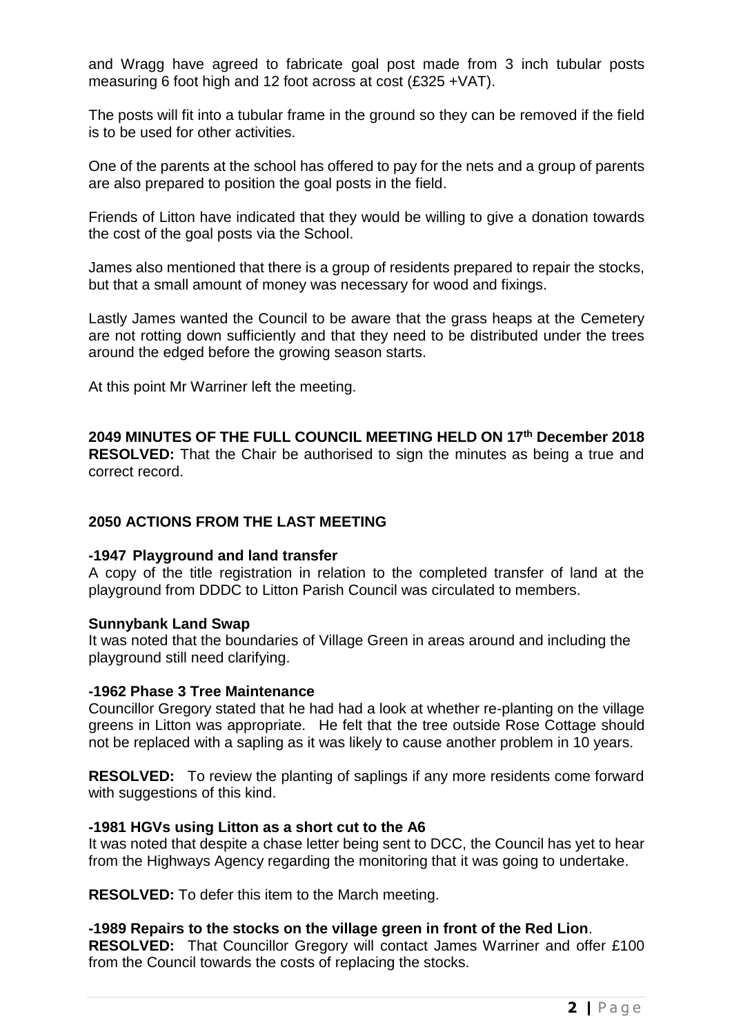and Wragg have agreed to fabricate goal post made from 3 inch tubular posts measuring 6 foot high and 12 foot across at cost (£325 +VAT).

The posts will fit into a tubular frame in the ground so they can be removed if the field is to be used for other activities.

One of the parents at the school has offered to pay for the nets and a group of parents are also prepared to position the goal posts in the field.

Friends of Litton have indicated that they would be willing to give a donation towards the cost of the goal posts via the School.

James also mentioned that there is a group of residents prepared to repair the stocks, but that a small amount of money was necessary for wood and fixings.

Lastly James wanted the Council to be aware that the grass heaps at the Cemetery are not rotting down sufficiently and that they need to be distributed under the trees around the edged before the growing season starts.

At this point Mr Warriner left the meeting.

# **2049 MINUTES OF THE FULL COUNCIL MEETING HELD ON 17 th December 2018**

**RESOLVED:** That the Chair be authorised to sign the minutes as being a true and correct record.

### **2050 ACTIONS FROM THE LAST MEETING**

#### **-1947 Playground and land transfer**

A copy of the title registration in relation to the completed transfer of land at the playground from DDDC to Litton Parish Council was circulated to members.

#### **Sunnybank Land Swap**

It was noted that the boundaries of Village Green in areas around and including the playground still need clarifying.

#### **-1962 Phase 3 Tree Maintenance**

Councillor Gregory stated that he had had a look at whether re-planting on the village greens in Litton was appropriate. He felt that the tree outside Rose Cottage should not be replaced with a sapling as it was likely to cause another problem in 10 years.

**RESOLVED:** To review the planting of saplings if any more residents come forward with suggestions of this kind.

#### **-1981 HGVs using Litton as a short cut to the A6**

It was noted that despite a chase letter being sent to DCC, the Council has yet to hear from the Highways Agency regarding the monitoring that it was going to undertake.

**RESOLVED:** To defer this item to the March meeting.

### **-1989 Repairs to the stocks on the village green in front of the Red Lion**.

**RESOLVED:** That Councillor Gregory will contact James Warriner and offer £100 from the Council towards the costs of replacing the stocks.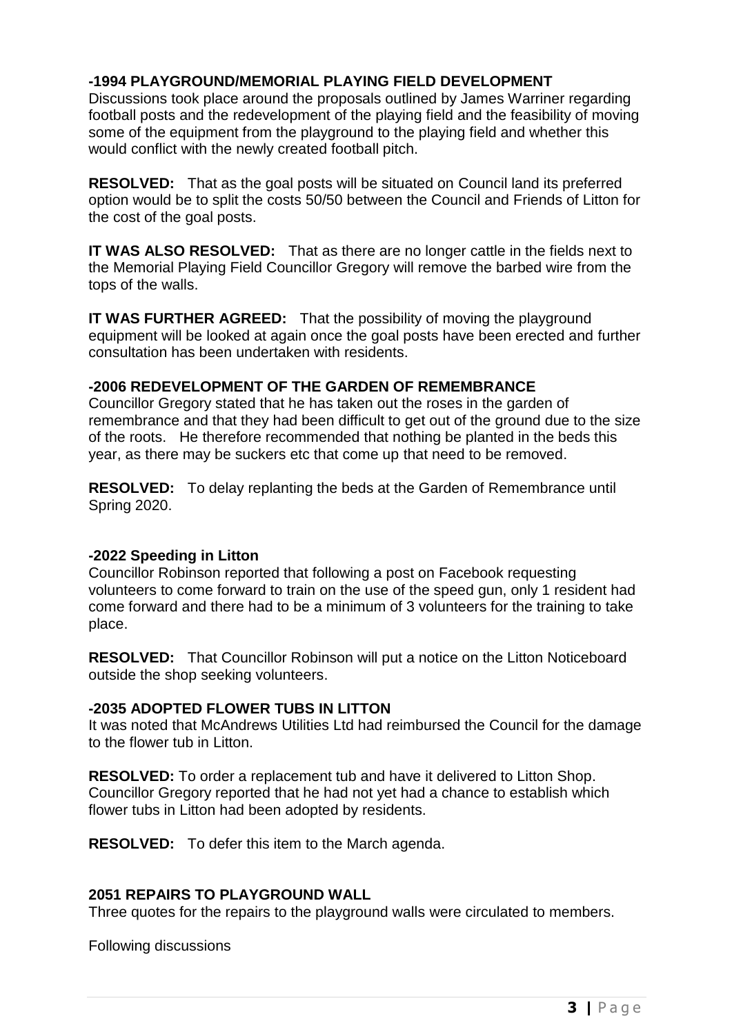# **-1994 PLAYGROUND/MEMORIAL PLAYING FIELD DEVELOPMENT**

Discussions took place around the proposals outlined by James Warriner regarding football posts and the redevelopment of the playing field and the feasibility of moving some of the equipment from the playground to the playing field and whether this would conflict with the newly created football pitch.

**RESOLVED:** That as the goal posts will be situated on Council land its preferred option would be to split the costs 50/50 between the Council and Friends of Litton for the cost of the goal posts.

**IT WAS ALSO RESOLVED:** That as there are no longer cattle in the fields next to the Memorial Playing Field Councillor Gregory will remove the barbed wire from the tops of the walls.

**IT WAS FURTHER AGREED:** That the possibility of moving the playground equipment will be looked at again once the goal posts have been erected and further consultation has been undertaken with residents.

### **-2006 REDEVELOPMENT OF THE GARDEN OF REMEMBRANCE**

Councillor Gregory stated that he has taken out the roses in the garden of remembrance and that they had been difficult to get out of the ground due to the size of the roots. He therefore recommended that nothing be planted in the beds this year, as there may be suckers etc that come up that need to be removed.

**RESOLVED:** To delay replanting the beds at the Garden of Remembrance until Spring 2020.

#### **-2022 Speeding in Litton**

Councillor Robinson reported that following a post on Facebook requesting volunteers to come forward to train on the use of the speed gun, only 1 resident had come forward and there had to be a minimum of 3 volunteers for the training to take place.

**RESOLVED:** That Councillor Robinson will put a notice on the Litton Noticeboard outside the shop seeking volunteers.

#### **-2035 ADOPTED FLOWER TUBS IN LITTON**

It was noted that McAndrews Utilities Ltd had reimbursed the Council for the damage to the flower tub in Litton.

**RESOLVED:** To order a replacement tub and have it delivered to Litton Shop. Councillor Gregory reported that he had not yet had a chance to establish which flower tubs in Litton had been adopted by residents.

**RESOLVED:** To defer this item to the March agenda.

## **2051 REPAIRS TO PLAYGROUND WALL**

Three quotes for the repairs to the playground walls were circulated to members.

Following discussions